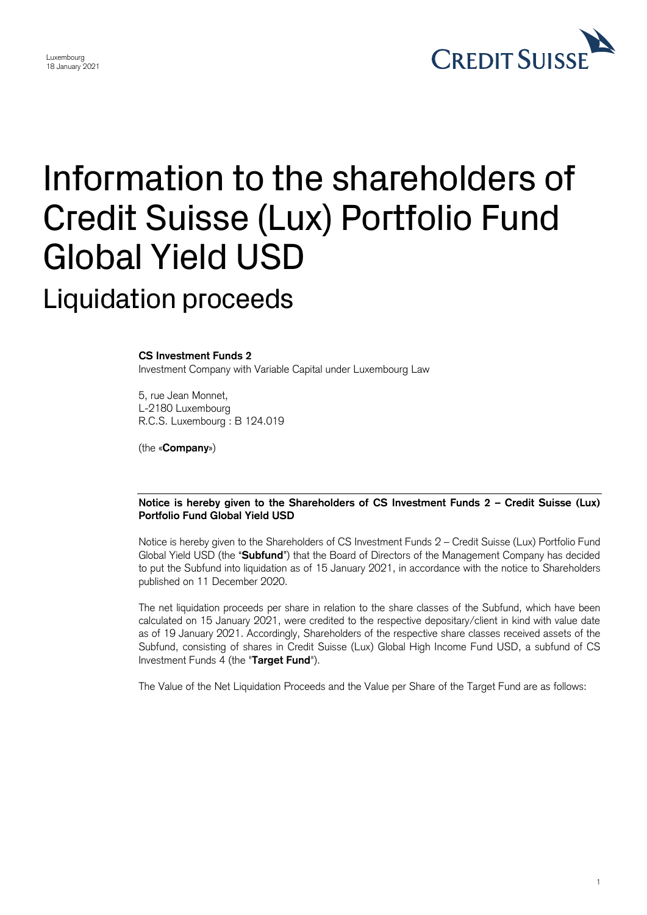

## Information to the shareholders of Credit Suisse (Lux) Portfolio Fund Global Yield USD Liquidation proceeds

## **CS Investment Funds 2**

Luxembourg 18 January 2021

Investment Company with Variable Capital under Luxembourg Law

5, rue Jean Monnet, L-2180 Luxembourg R.C.S. Luxembourg : B 124.019

(the «**Company**»)

## **Notice is hereby given to the Shareholders of CS Investment Funds 2 – Credit Suisse (Lux) Portfolio Fund Global Yield USD**

 Notice is hereby given to the Shareholders of CS Investment Funds 2 – Credit Suisse (Lux) Portfolio Fund Global Yield USD (the "**Subfund**") that the Board of Directors of the Management Company has decided to put the Subfund into liquidation as of 15 January 2021, in accordance with the notice to Shareholders published on 11 December 2020.

 The net liquidation proceeds per share in relation to the share classes of the Subfund, which have been calculated on 15 January 2021, were credited to the respective depositary/client in kind with value date as of 19 January 2021. Accordingly, Shareholders of the respective share classes received assets of the Subfund, consisting of shares in Credit Suisse (Lux) Global High Income Fund USD, a subfund of CS Investment Funds 4 (the "**Target Fund**").

The Value of the Net Liquidation Proceeds and the Value per Share of the Target Fund are as follows: